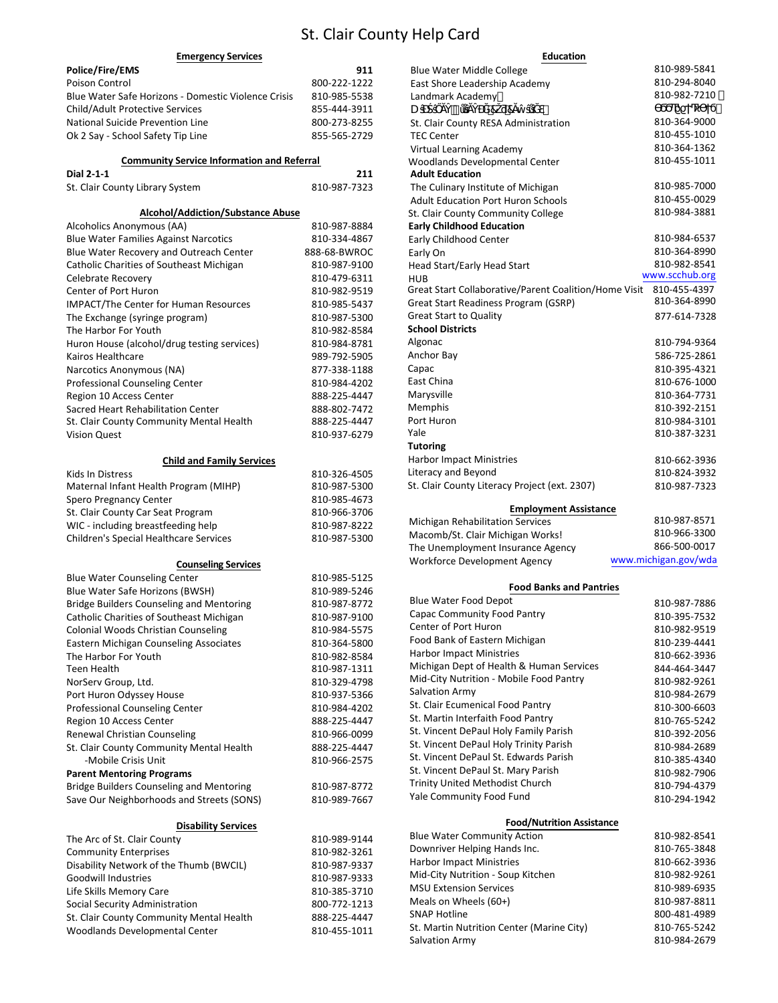# St. Clair County Help Card

| <b>Emergency Services</b>                                              |              | <b>Education</b>                                                                |                      |
|------------------------------------------------------------------------|--------------|---------------------------------------------------------------------------------|----------------------|
| Police/Fire/EMS                                                        | 911          | <b>Blue Water Middle College</b>                                                | 810-989-5841         |
| Poison Control                                                         | 800-222-1222 | East Shore Leadership Academy                                                   | 810-294-8040         |
| Blue Water Safe Horizons - Domestic Violence Crisis                    | 810-985-5538 | Landmark Academy                                                                | 810-982-7210         |
| Child/Adult Protective Services                                        | 855-444-3911 | U<br>77                                                                         |                      |
| National Suicide Prevention Line                                       | 800-273-8255 | St. Clair County RESA Administration                                            | 810-364-9000         |
| Ok 2 Say - School Safety Tip Line                                      | 855-565-2729 | <b>TEC Center</b>                                                               | 810-455-1010         |
|                                                                        |              | Virtual Learning Academy                                                        | 810-364-1362         |
| <b>Community Service Information and Referral</b><br><b>Dial 2-1-1</b> | 211          | Woodlands Developmental Center<br><b>Adult Education</b>                        | 810-455-1011         |
|                                                                        | 810-987-7323 |                                                                                 | 810-985-7000         |
| St. Clair County Library System                                        |              | The Culinary Institute of Michigan<br><b>Adult Education Port Huron Schools</b> | 810-455-0029         |
| <b>Alcohol/Addiction/Substance Abuse</b>                               |              | St. Clair County Community College                                              | 810-984-3881         |
| Alcoholics Anonymous (AA)                                              | 810-987-8884 | <b>Early Childhood Education</b>                                                |                      |
| <b>Blue Water Families Against Narcotics</b>                           | 810-334-4867 | Early Childhood Center                                                          | 810-984-6537         |
| Blue Water Recovery and Outreach Center                                | 888-68-BWROC | Early On                                                                        | 810-364-8990         |
| Catholic Charities of Southeast Michigan                               | 810-987-9100 | Head Start/Early Head Start                                                     | 810-982-8541         |
| Celebrate Recovery                                                     | 810-479-6311 | <b>HUB</b>                                                                      | www.scchub.org       |
| Center of Port Huron                                                   | 810-982-9519 | Great Start Collaborative/Parent Coalition/Home Visit                           | 810-455-4397         |
| <b>IMPACT/The Center for Human Resources</b>                           | 810-985-5437 | Great Start Readiness Program (GSRP)                                            | 810-364-8990         |
| The Exchange (syringe program)                                         | 810-987-5300 | <b>Great Start to Quality</b>                                                   | 877-614-7328         |
| The Harbor For Youth                                                   | 810-982-8584 | <b>School Districts</b>                                                         |                      |
| Huron House (alcohol/drug testing services)                            | 810-984-8781 | Algonac                                                                         | 810-794-9364         |
| Kairos Healthcare                                                      | 989-792-5905 | Anchor Bay                                                                      | 586-725-2861         |
| Narcotics Anonymous (NA)                                               | 877-338-1188 | Capac                                                                           | 810-395-4321         |
| Professional Counseling Center                                         | 810-984-4202 | East China                                                                      | 810-676-1000         |
| Region 10 Access Center                                                | 888-225-4447 | Marysville                                                                      | 810-364-7731         |
| Sacred Heart Rehabilitation Center                                     | 888-802-7472 | Memphis                                                                         | 810-392-2151         |
| St. Clair County Community Mental Health                               | 888-225-4447 | Port Huron                                                                      | 810-984-3101         |
| <b>Vision Quest</b>                                                    | 810-937-6279 | Yale                                                                            | 810-387-3231         |
|                                                                        |              | <b>Tutoring</b>                                                                 |                      |
| <b>Child and Family Services</b>                                       |              | <b>Harbor Impact Ministries</b>                                                 | 810-662-3936         |
| Kids In Distress                                                       | 810-326-4505 | Literacy and Beyond                                                             | 810-824-3932         |
| Maternal Infant Health Program (MIHP)                                  | 810-987-5300 | St. Clair County Literacy Project (ext. 2307)                                   | 810-987-7323         |
| Spero Pregnancy Center                                                 | 810-985-4673 |                                                                                 |                      |
| St. Clair County Car Seat Program                                      | 810-966-3706 | <b>Employment Assistance</b>                                                    |                      |
| WIC - including breastfeeding help                                     | 810-987-8222 | Michigan Rehabilitation Services                                                | 810-987-8571         |
| Children's Special Healthcare Services                                 | 810-987-5300 | Macomb/St. Clair Michigan Works!                                                | 810-966-3300         |
|                                                                        |              | The Unemployment Insurance Agency                                               | 866-500-0017         |
| <b>Counseling Services</b>                                             |              | Workforce Development Agency                                                    | www.michigan.gov/wda |
| <b>Blue Water Counseling Center</b>                                    | 810-985-5125 |                                                                                 |                      |
| Blue Water Safe Horizons (BWSH)                                        | 810-989-5246 | <b>Food Banks and Pantries</b>                                                  |                      |
| <b>Bridge Builders Counseling and Mentoring</b>                        | 810-987-8772 | Blue Water Food Depot                                                           | 810-987-7886         |
| Catholic Charities of Southeast Michigan                               | 810-987-9100 | Capac Community Food Pantry                                                     | 810-395-7532         |
| Colonial Woods Christian Counseling                                    | 810-984-5575 | Center of Port Huron                                                            | 810-982-9519         |
| Eastern Michigan Counseling Associates                                 | 810-364-5800 | Food Bank of Eastern Michigan                                                   | 810-239-4441         |
| The Harbor For Youth                                                   | 810-982-8584 | <b>Harbor Impact Ministries</b>                                                 | 810-662-3936         |
| Teen Health                                                            | 810-987-1311 | Michigan Dept of Health & Human Services                                        | 844-464-3447         |
| NorServ Group, Ltd.                                                    | 810-329-4798 | Mid-City Nutrition - Mobile Food Pantry                                         | 810-982-9261         |
| Port Huron Odyssey House                                               | 810-937-5366 | Salvation Army                                                                  | 810-984-2679         |
| Professional Counseling Center                                         | 810-984-4202 | St. Clair Ecumenical Food Pantry                                                | 810-300-6603         |
| Region 10 Access Center                                                | 888-225-4447 | St. Martin Interfaith Food Pantry                                               | 810-765-5242         |
| Renewal Christian Counseling                                           | 810-966-0099 | St. Vincent DePaul Holy Family Parish                                           | 810-392-2056         |
| St. Clair County Community Mental Health                               | 888-225-4447 | St. Vincent DePaul Holy Trinity Parish                                          | 810-984-2689         |
| -Mobile Crisis Unit                                                    | 810-966-2575 | St. Vincent DePaul St. Edwards Parish                                           | 810-385-4340         |
| <b>Parent Mentoring Programs</b>                                       |              | St. Vincent DePaul St. Mary Parish                                              | 810-982-7906         |
| <b>Bridge Builders Counseling and Mentoring</b>                        | 810-987-8772 | Trinity United Methodist Church                                                 | 810-794-4379         |
| Save Our Neighborhoods and Streets (SONS)                              | 810-989-7667 | Yale Community Food Fund                                                        | 810-294-1942         |
|                                                                        |              |                                                                                 |                      |
| <b>Disability Services</b>                                             |              | <b>Food/Nutrition Assistance</b>                                                |                      |
| The Arc of St. Clair County                                            | 810-989-9144 | <b>Blue Water Community Action</b>                                              | 810-982-8541         |
| <b>Community Enterprises</b>                                           | 810-982-3261 | Downriver Helping Hands Inc.                                                    | 810-765-3848         |
| Disability Network of the Thumb (BWCIL)                                | 810-987-9337 | <b>Harbor Impact Ministries</b>                                                 | 810-662-3936         |
| Goodwill Industries                                                    | 810-987-9333 | Mid-City Nutrition - Soup Kitchen                                               | 810-982-9261         |
| Life Skills Memory Care                                                | 810-385-3710 | <b>MSU Extension Services</b>                                                   | 810-989-6935         |
| Social Security Administration                                         | 800-772-1213 | Meals on Wheels (60+)                                                           | 810-987-8811         |
| St. Clair County Community Mental Health                               | 888-225-4447 | <b>SNAP Hotline</b>                                                             | 800-481-4989         |
| Woodlands Developmental Center                                         | 810-455-1011 | St. Martin Nutrition Center (Marine City)                                       | 810-765-5242         |
|                                                                        |              | Salvation Army                                                                  | 810-984-2679         |

| Blue Water Middle College                             | 810-989-5841                 |
|-------------------------------------------------------|------------------------------|
| East Shore Leadership Academy                         | 810-294-8040                 |
| Landmark Academy                                      | 810-982-7210                 |
| U<br>77                                               |                              |
| St. Clair County RESA Administration                  | 810-364-9000                 |
| <b>TEC Center</b>                                     | 810-455-1010                 |
| Virtual Learning Academy                              | 810-364-1362                 |
| <b>Woodlands Developmental Center</b>                 | 810-455-1011                 |
| <b>Adult Education</b>                                |                              |
| The Culinary Institute of Michigan                    | 810-985-7000                 |
| <b>Adult Education Port Huron Schools</b>             | 810-455-0029                 |
| St. Clair County Community College                    | 810-984-3881                 |
| <b>Early Childhood Education</b>                      |                              |
| <b>Early Childhood Center</b>                         | 810-984-6537                 |
| Early On                                              | 810-364-8990                 |
| Head Start/Early Head Start                           | 810-982-8541                 |
| <b>HUB</b>                                            | www.scchub.org               |
| Great Start Collaborative/Parent Coalition/Home Visit | 810-455-4397                 |
| Great Start Readiness Program (GSRP)                  | 810-364-8990                 |
| <b>Great Start to Quality</b>                         | 877-614-7328                 |
| <b>School Districts</b>                               |                              |
| Algonac                                               | 810-794-9364                 |
| Anchor Bay                                            | 586-725-2861                 |
| Capac                                                 | 810-395-4321                 |
| East China                                            | 810-676-1000                 |
| Marysville                                            | 810-364-7731                 |
| Memphis                                               | 810-392-2151                 |
| Port Huron                                            | 810-984-3101                 |
| Yale                                                  | 810-387-3231                 |
| <b>Tutoring</b>                                       |                              |
| <b>Harbor Impact Ministries</b>                       | 810-662-3936                 |
| Literacy and Beyond                                   | 810-824-3932                 |
| St. Clair County Literacy Project (ext. 2307)         | 810-987-7323                 |
| <b>Employment Assistance</b>                          |                              |
| Michigan Rehabilitation Services                      | 810-987-8571                 |
| Macomb/St. Clair Michigan Works!                      | 810-966-3300                 |
| The Unemployment Insurance Agency                     | 866-500-0017                 |
| Workforce Development Agency                          | www.michigan.gov/wda         |
| <b>Food Banks and Pantries</b>                        |                              |
| <b>Blue Water Food Depot</b>                          |                              |
| Capac Community Food Pantry                           | 810-987-7886                 |
| <b>Center of Port Huron</b>                           | 810-395-7532<br>810-982-9519 |
|                                                       |                              |

| Capac Community Food Pantry              | 810-395-7532 |  |  |  |
|------------------------------------------|--------------|--|--|--|
| Center of Port Huron                     | 810-982-9519 |  |  |  |
| Food Bank of Eastern Michigan            | 810-239-4441 |  |  |  |
| <b>Harbor Impact Ministries</b>          | 810-662-3936 |  |  |  |
| Michigan Dept of Health & Human Services | 844-464-3447 |  |  |  |
| Mid-City Nutrition - Mobile Food Pantry  | 810-982-9261 |  |  |  |
| Salvation Army                           | 810-984-2679 |  |  |  |
| St. Clair Ecumenical Food Pantry         | 810-300-6603 |  |  |  |
| St. Martin Interfaith Food Pantry        | 810-765-5242 |  |  |  |
| St. Vincent DePaul Holy Family Parish    | 810-392-2056 |  |  |  |
| St. Vincent DePaul Holy Trinity Parish   | 810-984-2689 |  |  |  |
| St. Vincent DePaul St. Edwards Parish    | 810-385-4340 |  |  |  |
| St. Vincent DePaul St. Mary Parish       | 810-982-7906 |  |  |  |
| <b>Trinity United Methodist Church</b>   | 810-794-4379 |  |  |  |
| Yale Community Food Fund                 | 810-294-1942 |  |  |  |
|                                          |              |  |  |  |
| <b>Food/Nutrition Assistance</b>         |              |  |  |  |

| <b>Blue Water Community Action</b>        | 810-982-8541 |
|-------------------------------------------|--------------|
| Downriver Helping Hands Inc.              | 810-765-3848 |
| <b>Harbor Impact Ministries</b>           | 810-662-3936 |
| Mid-City Nutrition - Soup Kitchen         | 810-982-9261 |
| <b>MSU Extension Services</b>             | 810-989-6935 |
| Meals on Wheels (60+)                     | 810-987-8811 |
| <b>SNAP Hotline</b>                       | 800-481-4989 |
| St. Martin Nutrition Center (Marine City) | 810-765-5242 |
| Salvation Army                            | 810-984-2679 |